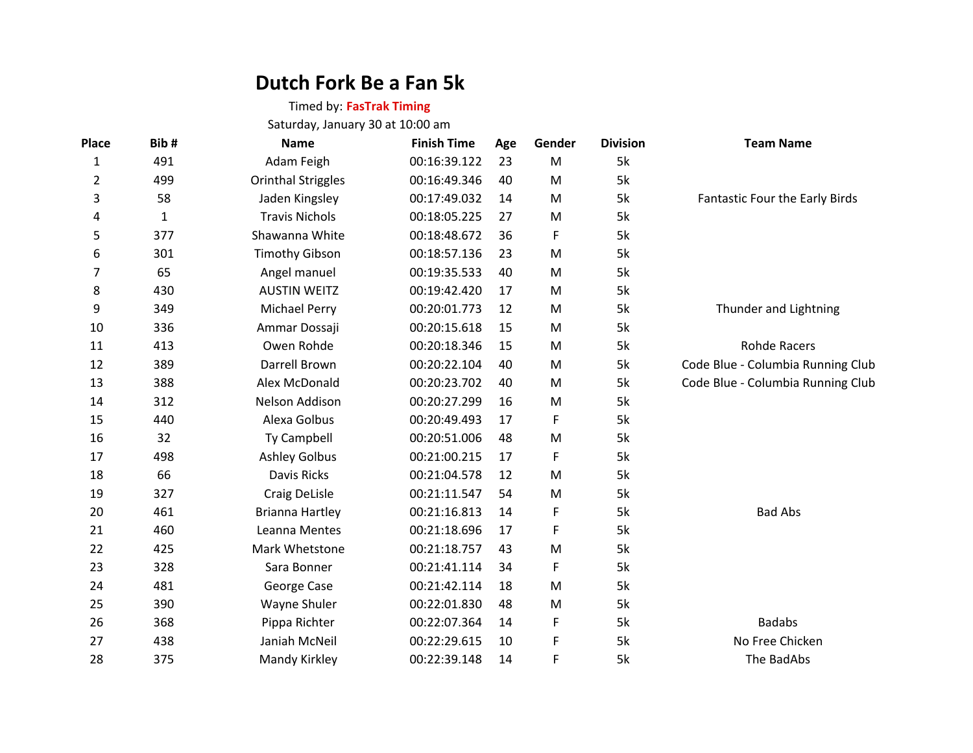# **Dutch Fork Be a Fan 5k**

## Timed by: **FasTrak Timing**

Saturday, January 30 at 10:00 am

| <b>Place</b>   | Bib#         | <b>Name</b>               | <b>Finish Time</b> | Age | Gender | <b>Division</b> | <b>Team Name</b>                  |
|----------------|--------------|---------------------------|--------------------|-----|--------|-----------------|-----------------------------------|
| 1              | 491          | Adam Feigh                | 00:16:39.122       | 23  | M      | 5k              |                                   |
| $\overline{2}$ | 499          | <b>Orinthal Striggles</b> | 00:16:49.346       | 40  | M      | 5k              |                                   |
| 3              | 58           | Jaden Kingsley            | 00:17:49.032       | 14  | M      | 5k              | Fantastic Four the Early Birds    |
| 4              | $\mathbf{1}$ | <b>Travis Nichols</b>     | 00:18:05.225       | 27  | M      | 5k              |                                   |
| 5              | 377          | Shawanna White            | 00:18:48.672       | 36  | F      | 5k              |                                   |
| 6              | 301          | <b>Timothy Gibson</b>     | 00:18:57.136       | 23  | M      | 5k              |                                   |
| 7              | 65           | Angel manuel              | 00:19:35.533       | 40  | M      | 5k              |                                   |
| 8              | 430          | <b>AUSTIN WEITZ</b>       | 00:19:42.420       | 17  | M      | 5k              |                                   |
| 9              | 349          | <b>Michael Perry</b>      | 00:20:01.773       | 12  | M      | 5k              | Thunder and Lightning             |
| 10             | 336          | Ammar Dossaji             | 00:20:15.618       | 15  | M      | 5k              |                                   |
| 11             | 413          | Owen Rohde                | 00:20:18.346       | 15  | M      | 5k              | <b>Rohde Racers</b>               |
| 12             | 389          | Darrell Brown             | 00:20:22.104       | 40  | M      | 5k              | Code Blue - Columbia Running Club |
| 13             | 388          | Alex McDonald             | 00:20:23.702       | 40  | M      | 5k              | Code Blue - Columbia Running Club |
| 14             | 312          | Nelson Addison            | 00:20:27.299       | 16  | M      | 5k              |                                   |
| 15             | 440          | Alexa Golbus              | 00:20:49.493       | 17  | F      | 5k              |                                   |
| 16             | 32           | Ty Campbell               | 00:20:51.006       | 48  | M      | 5k              |                                   |
| 17             | 498          | <b>Ashley Golbus</b>      | 00:21:00.215       | 17  | F      | 5k              |                                   |
| 18             | 66           | Davis Ricks               | 00:21:04.578       | 12  | M      | 5k              |                                   |
| 19             | 327          | Craig DeLisle             | 00:21:11.547       | 54  | M      | 5k              |                                   |
| 20             | 461          | <b>Brianna Hartley</b>    | 00:21:16.813       | 14  | F      | 5k              | <b>Bad Abs</b>                    |
| 21             | 460          | Leanna Mentes             | 00:21:18.696       | 17  | F      | 5k              |                                   |
| 22             | 425          | Mark Whetstone            | 00:21:18.757       | 43  | M      | 5k              |                                   |
| 23             | 328          | Sara Bonner               | 00:21:41.114       | 34  | F      | 5k              |                                   |
| 24             | 481          | George Case               | 00:21:42.114       | 18  | M      | 5k              |                                   |
| 25             | 390          | Wayne Shuler              | 00:22:01.830       | 48  | M      | 5k              |                                   |
| 26             | 368          | Pippa Richter             | 00:22:07.364       | 14  | F      | 5k              | <b>Badabs</b>                     |
| 27             | 438          | Janiah McNeil             | 00:22:29.615       | 10  | F      | 5k              | No Free Chicken                   |
| 28             | 375          | Mandy Kirkley             | 00:22:39.148       | 14  | F      | 5k              | The BadAbs                        |
|                |              |                           |                    |     |        |                 |                                   |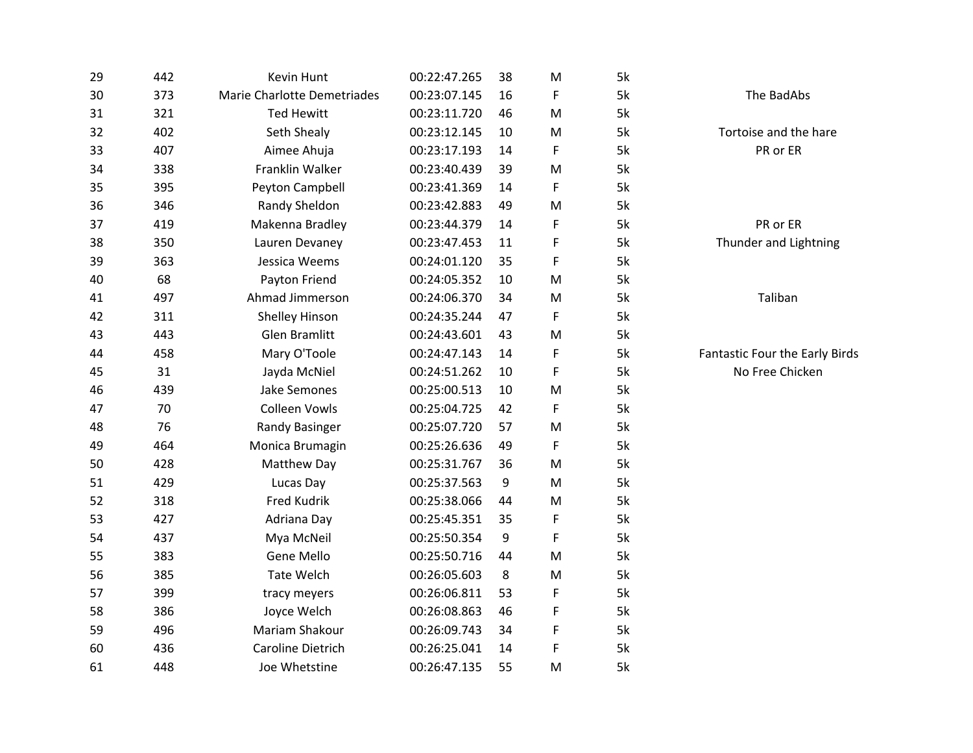| 29 | 442 | Kevin Hunt                  | 00:22:47.265 | 38 | M | 5k |                                |
|----|-----|-----------------------------|--------------|----|---|----|--------------------------------|
| 30 | 373 | Marie Charlotte Demetriades | 00:23:07.145 | 16 | F | 5k | The BadAbs                     |
| 31 | 321 | <b>Ted Hewitt</b>           | 00:23:11.720 | 46 | M | 5k |                                |
| 32 | 402 | Seth Shealy                 | 00:23:12.145 | 10 | M | 5k | Tortoise and the hare          |
| 33 | 407 | Aimee Ahuja                 | 00:23:17.193 | 14 | F | 5k | PR or ER                       |
| 34 | 338 | Franklin Walker             | 00:23:40.439 | 39 | M | 5k |                                |
| 35 | 395 | Peyton Campbell             | 00:23:41.369 | 14 | F | 5k |                                |
| 36 | 346 | Randy Sheldon               | 00:23:42.883 | 49 | M | 5k |                                |
| 37 | 419 | Makenna Bradley             | 00:23:44.379 | 14 | F | 5k | PR or ER                       |
| 38 | 350 | Lauren Devaney              | 00:23:47.453 | 11 | F | 5k | Thunder and Lightning          |
| 39 | 363 | Jessica Weems               | 00:24:01.120 | 35 | F | 5k |                                |
| 40 | 68  | Payton Friend               | 00:24:05.352 | 10 | M | 5k |                                |
| 41 | 497 | Ahmad Jimmerson             | 00:24:06.370 | 34 | M | 5k | Taliban                        |
| 42 | 311 | <b>Shelley Hinson</b>       | 00:24:35.244 | 47 | F | 5k |                                |
| 43 | 443 | <b>Glen Bramlitt</b>        | 00:24:43.601 | 43 | M | 5k |                                |
| 44 | 458 | Mary O'Toole                | 00:24:47.143 | 14 | F | 5k | Fantastic Four the Early Birds |
| 45 | 31  | Jayda McNiel                | 00:24:51.262 | 10 | F | 5k | No Free Chicken                |
| 46 | 439 | Jake Semones                | 00:25:00.513 | 10 | M | 5k |                                |
| 47 | 70  | <b>Colleen Vowls</b>        | 00:25:04.725 | 42 | F | 5k |                                |
| 48 | 76  | <b>Randy Basinger</b>       | 00:25:07.720 | 57 | M | 5k |                                |
| 49 | 464 | Monica Brumagin             | 00:25:26.636 | 49 | F | 5k |                                |
| 50 | 428 | Matthew Day                 | 00:25:31.767 | 36 | M | 5k |                                |
| 51 | 429 | Lucas Day                   | 00:25:37.563 | 9  | M | 5k |                                |
| 52 | 318 | <b>Fred Kudrik</b>          | 00:25:38.066 | 44 | M | 5k |                                |
| 53 | 427 | Adriana Day                 | 00:25:45.351 | 35 | F | 5k |                                |
| 54 | 437 | Mya McNeil                  | 00:25:50.354 | 9  | F | 5k |                                |
| 55 | 383 | <b>Gene Mello</b>           | 00:25:50.716 | 44 | M | 5k |                                |
| 56 | 385 | <b>Tate Welch</b>           | 00:26:05.603 | 8  | M | 5k |                                |
| 57 | 399 | tracy meyers                | 00:26:06.811 | 53 | F | 5k |                                |
| 58 | 386 | Joyce Welch                 | 00:26:08.863 | 46 | F | 5k |                                |
| 59 | 496 | Mariam Shakour              | 00:26:09.743 | 34 | F | 5k |                                |
| 60 | 436 | <b>Caroline Dietrich</b>    | 00:26:25.041 | 14 | F | 5k |                                |
| 61 | 448 | Joe Whetstine               | 00:26:47.135 | 55 | M | 5k |                                |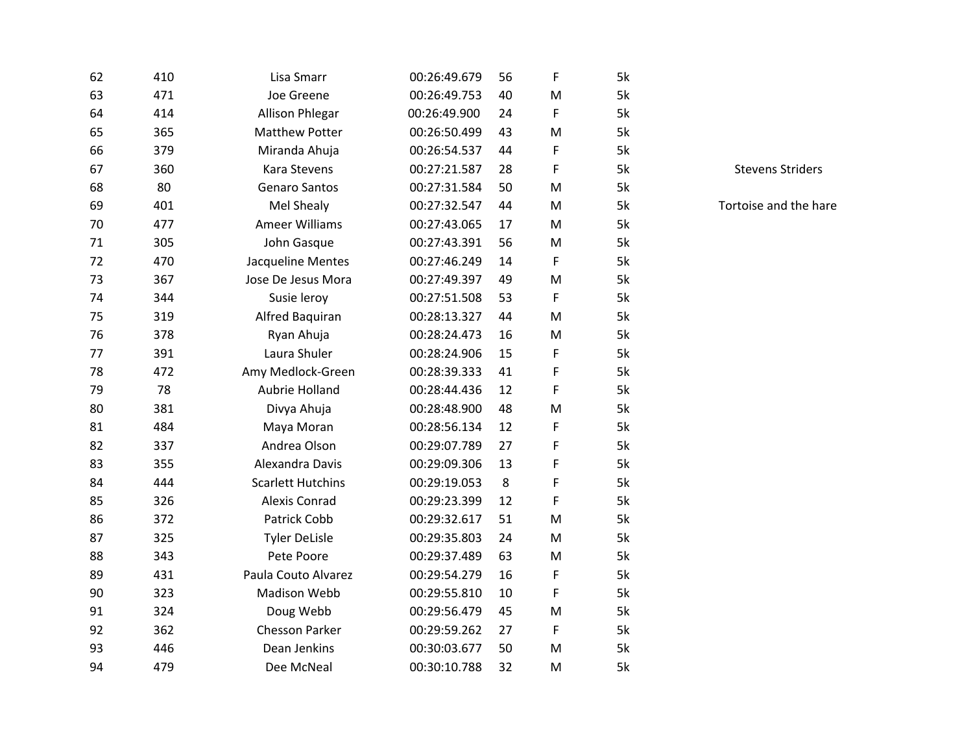| 62 | 410        | Lisa Smarr               | 00:26:49.679 | 56       | F      | 5k |
|----|------------|--------------------------|--------------|----------|--------|----|
| 63 | 471        | Joe Greene               | 00:26:49.753 | 40       | M      | 5k |
| 64 | 414        | <b>Allison Phlegar</b>   | 00:26:49.900 | 24       | F      | 5k |
| 65 | 365        | <b>Matthew Potter</b>    | 00:26:50.499 | 43       | M      | 5k |
| 66 | 379        | Miranda Ahuja            | 00:26:54.537 | 44       | F      | 5k |
| 67 | 360        | <b>Kara Stevens</b>      | 00:27:21.587 | 28       | F      | 5k |
| 68 | 80         | <b>Genaro Santos</b>     | 00:27:31.584 | 50       | M      | 5k |
| 69 | 401        | Mel Shealy               | 00:27:32.547 | 44       | м      | 5k |
| 70 | 477        | <b>Ameer Williams</b>    | 00:27:43.065 | 17       | м      | 5k |
| 71 |            |                          | 00:27:43.391 |          | M      |    |
| 72 | 305<br>470 | John Gasque              |              | 56<br>14 | F      | 5k |
|    |            | Jacqueline Mentes        | 00:27:46.249 |          |        | 5k |
| 73 | 367        | Jose De Jesus Mora       | 00:27:49.397 | 49       | M<br>F | 5k |
| 74 | 344        | Susie leroy              | 00:27:51.508 | 53       |        | 5k |
| 75 | 319        | Alfred Baquiran          | 00:28:13.327 | 44       | M      | 5k |
| 76 | 378        | Ryan Ahuja               | 00:28:24.473 | 16       | M      | 5k |
| 77 | 391        | Laura Shuler             | 00:28:24.906 | 15       | F      | 5k |
| 78 | 472        | Amy Medlock-Green        | 00:28:39.333 | 41       | F      | 5k |
| 79 | 78         | Aubrie Holland           | 00:28:44.436 | 12       | F      | 5k |
| 80 | 381        | Divya Ahuja              | 00:28:48.900 | 48       | M      | 5k |
| 81 | 484        | Maya Moran               | 00:28:56.134 | 12       | F      | 5k |
| 82 | 337        | Andrea Olson             | 00:29:07.789 | 27       | F      | 5k |
| 83 | 355        | Alexandra Davis          | 00:29:09.306 | 13       | F      | 5k |
| 84 | 444        | <b>Scarlett Hutchins</b> | 00:29:19.053 | 8        | F      | 5k |
| 85 | 326        | <b>Alexis Conrad</b>     | 00:29:23.399 | 12       | F      | 5k |
| 86 | 372        | Patrick Cobb             | 00:29:32.617 | 51       | M      | 5k |
| 87 | 325        | <b>Tyler DeLisle</b>     | 00:29:35.803 | 24       | м      | 5k |
| 88 | 343        | Pete Poore               | 00:29:37.489 | 63       | M      | 5k |
| 89 | 431        | Paula Couto Alvarez      | 00:29:54.279 | 16       | F      | 5k |
| 90 | 323        | <b>Madison Webb</b>      | 00:29:55.810 | 10       | F      | 5k |
| 91 | 324        | Doug Webb                | 00:29:56.479 | 45       | M      | 5k |
| 92 | 362        | <b>Chesson Parker</b>    | 00:29:59.262 | 27       | F      | 5k |
| 93 | 446        | Dean Jenkins             | 00:30:03.677 | 50       | M      | 5k |
| 94 | 479        | Dee McNeal               | 00:30:10.788 | 32       | M      | 5k |

k Stevens Striders

k 5k Tortoise and the hare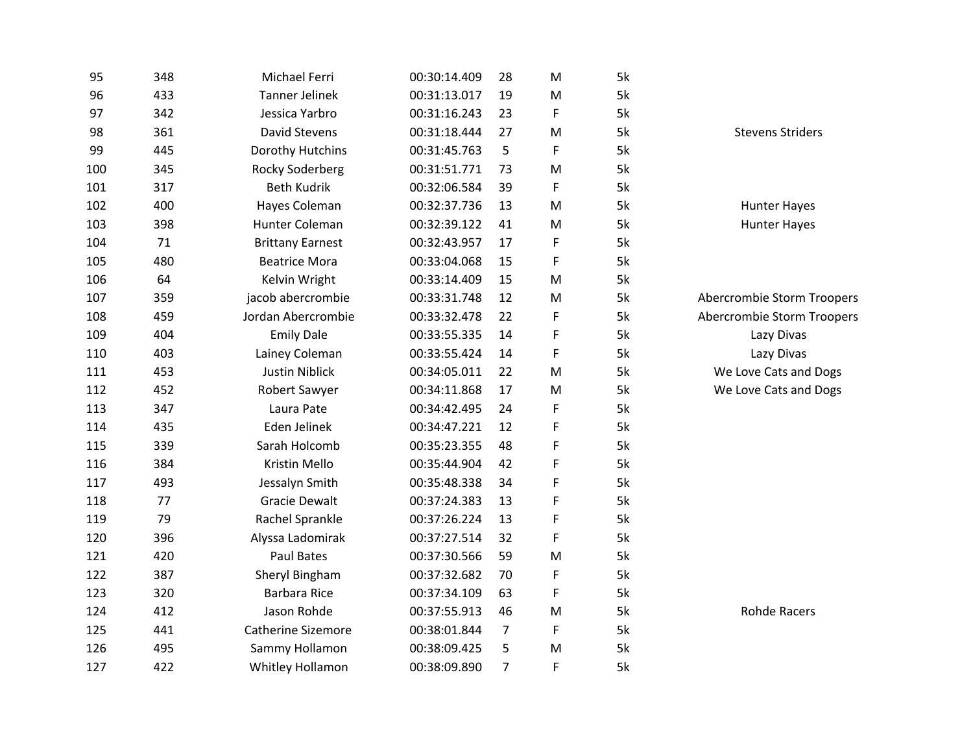| 95  | 348 | Michael Ferri           | 00:30:14.409 | 28             | M         | 5k |                            |
|-----|-----|-------------------------|--------------|----------------|-----------|----|----------------------------|
| 96  | 433 | <b>Tanner Jelinek</b>   | 00:31:13.017 | 19             | M         | 5k |                            |
| 97  | 342 | Jessica Yarbro          | 00:31:16.243 | 23             | F         | 5k |                            |
| 98  | 361 | <b>David Stevens</b>    | 00:31:18.444 | 27             | M         | 5k | <b>Stevens Striders</b>    |
| 99  | 445 | Dorothy Hutchins        | 00:31:45.763 | 5              | F         | 5k |                            |
| 100 | 345 | Rocky Soderberg         | 00:31:51.771 | 73             | M         | 5k |                            |
| 101 | 317 | <b>Beth Kudrik</b>      | 00:32:06.584 | 39             | F         | 5k |                            |
| 102 | 400 | Hayes Coleman           | 00:32:37.736 | 13             | ${\sf M}$ | 5k | <b>Hunter Hayes</b>        |
| 103 | 398 | Hunter Coleman          | 00:32:39.122 | 41             | M         | 5k | <b>Hunter Hayes</b>        |
| 104 | 71  | <b>Brittany Earnest</b> | 00:32:43.957 | 17             | F         | 5k |                            |
| 105 | 480 | <b>Beatrice Mora</b>    | 00:33:04.068 | 15             | F         | 5k |                            |
| 106 | 64  | Kelvin Wright           | 00:33:14.409 | 15             | M         | 5k |                            |
| 107 | 359 | jacob abercrombie       | 00:33:31.748 | 12             | M         | 5k | Abercrombie Storm Troopers |
| 108 | 459 | Jordan Abercrombie      | 00:33:32.478 | 22             | F         | 5k | Abercrombie Storm Troopers |
| 109 | 404 | <b>Emily Dale</b>       | 00:33:55.335 | 14             | F         | 5k | Lazy Divas                 |
| 110 | 403 | Lainey Coleman          | 00:33:55.424 | 14             | F         | 5k | Lazy Divas                 |
| 111 | 453 | <b>Justin Niblick</b>   | 00:34:05.011 | 22             | M         | 5k | We Love Cats and Dogs      |
| 112 | 452 | Robert Sawyer           | 00:34:11.868 | 17             | M         | 5k | We Love Cats and Dogs      |
| 113 | 347 | Laura Pate              | 00:34:42.495 | 24             | F         | 5k |                            |
| 114 | 435 | Eden Jelinek            | 00:34:47.221 | 12             | F         | 5k |                            |
| 115 | 339 | Sarah Holcomb           | 00:35:23.355 | 48             | F         | 5k |                            |
| 116 | 384 | <b>Kristin Mello</b>    | 00:35:44.904 | 42             | F         | 5k |                            |
| 117 | 493 | Jessalyn Smith          | 00:35:48.338 | 34             | F         | 5k |                            |
| 118 | 77  | <b>Gracie Dewalt</b>    | 00:37:24.383 | 13             | F         | 5k |                            |
| 119 | 79  | Rachel Sprankle         | 00:37:26.224 | 13             | F         | 5k |                            |
| 120 | 396 | Alyssa Ladomirak        | 00:37:27.514 | 32             | F         | 5k |                            |
| 121 | 420 | Paul Bates              | 00:37:30.566 | 59             | M         | 5k |                            |
| 122 | 387 | Sheryl Bingham          | 00:37:32.682 | 70             | F         | 5k |                            |
| 123 | 320 | <b>Barbara Rice</b>     | 00:37:34.109 | 63             | F         | 5k |                            |
| 124 | 412 | Jason Rohde             | 00:37:55.913 | 46             | M         | 5k | <b>Rohde Racers</b>        |
| 125 | 441 | Catherine Sizemore      | 00:38:01.844 | $\overline{7}$ | F         | 5k |                            |
| 126 | 495 | Sammy Hollamon          | 00:38:09.425 | 5              | M         | 5k |                            |
| 127 | 422 | Whitley Hollamon        | 00:38:09.890 | $\overline{7}$ | F         | 5k |                            |
|     |     |                         |              |                |           |    |                            |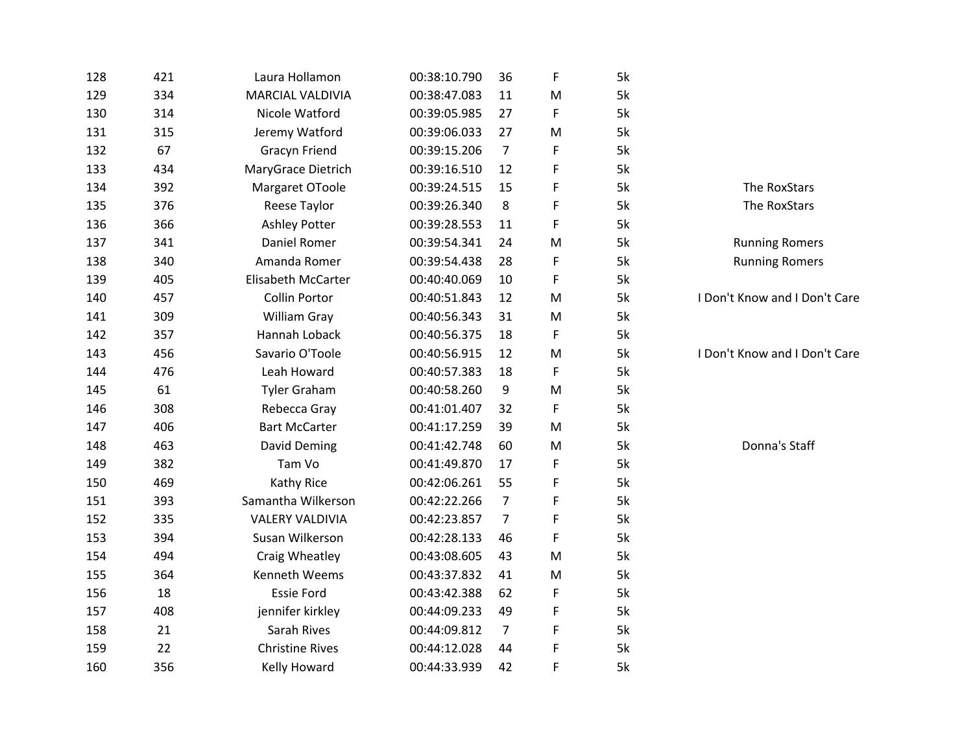| 128 | 421 | Laura Hollamon          | 00:38:10.790 | 36             | F | 5k |                               |
|-----|-----|-------------------------|--------------|----------------|---|----|-------------------------------|
| 129 | 334 | <b>MARCIAL VALDIVIA</b> | 00:38:47.083 | 11             | M | 5k |                               |
| 130 | 314 | Nicole Watford          | 00:39:05.985 | 27             | F | 5k |                               |
| 131 | 315 | Jeremy Watford          | 00:39:06.033 | 27             | M | 5k |                               |
| 132 | 67  | <b>Gracyn Friend</b>    | 00:39:15.206 | $\overline{7}$ | F | 5k |                               |
| 133 | 434 | MaryGrace Dietrich      | 00:39:16.510 | 12             | F | 5k |                               |
| 134 | 392 | Margaret OToole         | 00:39:24.515 | 15             | F | 5k | The RoxStars                  |
| 135 | 376 | Reese Taylor            | 00:39:26.340 | 8              | F | 5k | The RoxStars                  |
| 136 | 366 | <b>Ashley Potter</b>    | 00:39:28.553 | 11             | F | 5k |                               |
| 137 | 341 | Daniel Romer            | 00:39:54.341 | 24             | M | 5k | <b>Running Romers</b>         |
| 138 | 340 | Amanda Romer            | 00:39:54.438 | 28             | F | 5k | <b>Running Romers</b>         |
| 139 | 405 | Elisabeth McCarter      | 00:40:40.069 | 10             | F | 5k |                               |
| 140 | 457 | Collin Portor           | 00:40:51.843 | 12             | M | 5k | I Don't Know and I Don't Care |
| 141 | 309 | William Gray            | 00:40:56.343 | 31             | M | 5k |                               |
| 142 | 357 | Hannah Loback           | 00:40:56.375 | 18             | F | 5k |                               |
| 143 | 456 | Savario O'Toole         | 00:40:56.915 | 12             | M | 5k | I Don't Know and I Don't Care |
| 144 | 476 | Leah Howard             | 00:40:57.383 | 18             | F | 5k |                               |
| 145 | 61  | <b>Tyler Graham</b>     | 00:40:58.260 | 9              | M | 5k |                               |
| 146 | 308 | Rebecca Gray            | 00:41:01.407 | 32             | F | 5k |                               |
| 147 | 406 | <b>Bart McCarter</b>    | 00:41:17.259 | 39             | M | 5k |                               |
| 148 | 463 | David Deming            | 00:41:42.748 | 60             | M | 5k | Donna's Staff                 |
| 149 | 382 | Tam Vo                  | 00:41:49.870 | 17             | F | 5k |                               |
| 150 | 469 | Kathy Rice              | 00:42:06.261 | 55             | F | 5k |                               |
| 151 | 393 | Samantha Wilkerson      | 00:42:22.266 | $\overline{7}$ | F | 5k |                               |
| 152 | 335 | <b>VALERY VALDIVIA</b>  | 00:42:23.857 | 7              | F | 5k |                               |
| 153 | 394 | Susan Wilkerson         | 00:42:28.133 | 46             | F | 5k |                               |
| 154 | 494 | Craig Wheatley          | 00:43:08.605 | 43             | M | 5k |                               |
| 155 | 364 | Kenneth Weems           | 00:43:37.832 | 41             | M | 5k |                               |
| 156 | 18  | <b>Essie Ford</b>       | 00:43:42.388 | 62             | F | 5k |                               |
| 157 | 408 | jennifer kirkley        | 00:44:09.233 | 49             | F | 5k |                               |
| 158 | 21  | Sarah Rives             | 00:44:09.812 | $\overline{7}$ | F | 5k |                               |
| 159 | 22  | <b>Christine Rives</b>  | 00:44:12.028 | 44             | F | 5k |                               |
| 160 | 356 | Kelly Howard            | 00:44:33.939 | 42             | F | 5k |                               |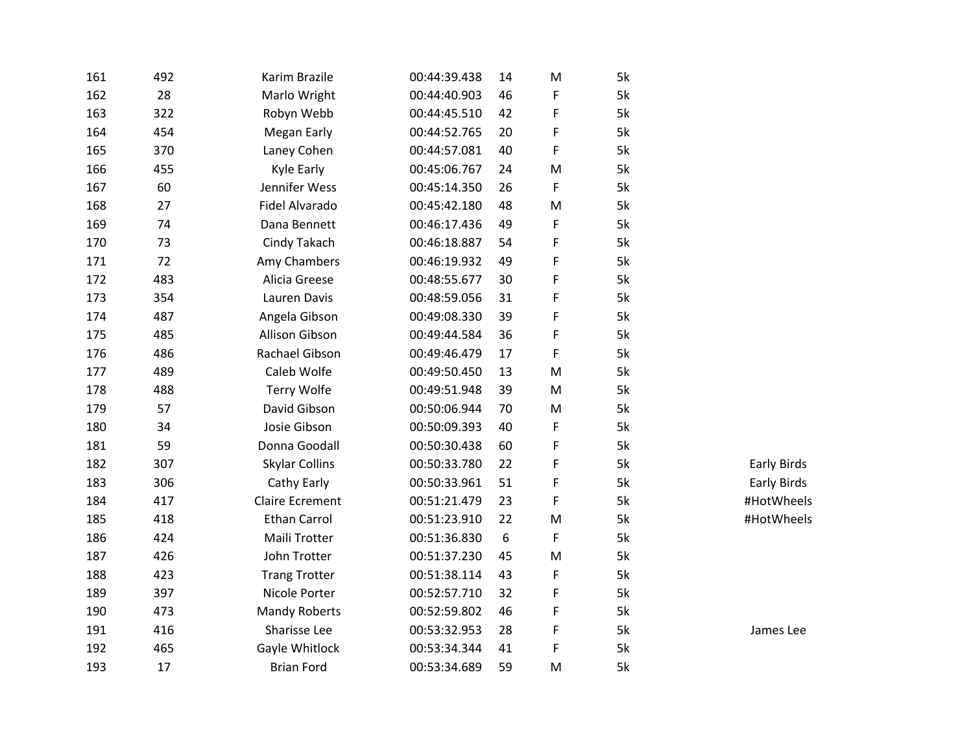| 161 | 492 | Karim Brazile          | 00:44:39.438 | 14 | M | 5k |                    |
|-----|-----|------------------------|--------------|----|---|----|--------------------|
| 162 | 28  | Marlo Wright           | 00:44:40.903 | 46 | F | 5k |                    |
| 163 | 322 | Robyn Webb             | 00:44:45.510 | 42 | F | 5k |                    |
| 164 | 454 | <b>Megan Early</b>     | 00:44:52.765 | 20 | F | 5k |                    |
| 165 | 370 | Laney Cohen            | 00:44:57.081 | 40 | F | 5k |                    |
| 166 | 455 | Kyle Early             | 00:45:06.767 | 24 | M | 5k |                    |
| 167 | 60  | Jennifer Wess          | 00:45:14.350 | 26 | F | 5k |                    |
| 168 | 27  | Fidel Alvarado         | 00:45:42.180 | 48 | M | 5k |                    |
| 169 | 74  | Dana Bennett           | 00:46:17.436 | 49 | F | 5k |                    |
| 170 | 73  | Cindy Takach           | 00:46:18.887 | 54 | F | 5k |                    |
| 171 | 72  | Amy Chambers           | 00:46:19.932 | 49 | F | 5k |                    |
| 172 | 483 | Alicia Greese          | 00:48:55.677 | 30 | F | 5k |                    |
| 173 | 354 | Lauren Davis           | 00:48:59.056 | 31 | F | 5k |                    |
| 174 | 487 | Angela Gibson          | 00:49:08.330 | 39 | F | 5k |                    |
| 175 | 485 | <b>Allison Gibson</b>  | 00:49:44.584 | 36 | F | 5k |                    |
| 176 | 486 | Rachael Gibson         | 00:49:46.479 | 17 | F | 5k |                    |
| 177 | 489 | Caleb Wolfe            | 00:49:50.450 | 13 | M | 5k |                    |
| 178 | 488 | Terry Wolfe            | 00:49:51.948 | 39 | M | 5k |                    |
| 179 | 57  | David Gibson           | 00:50:06.944 | 70 | M | 5k |                    |
| 180 | 34  | Josie Gibson           | 00:50:09.393 | 40 | F | 5k |                    |
| 181 | 59  | Donna Goodall          | 00:50:30.438 | 60 | F | 5k |                    |
| 182 | 307 | <b>Skylar Collins</b>  | 00:50:33.780 | 22 | F | 5k | Early Birds        |
| 183 | 306 | Cathy Early            | 00:50:33.961 | 51 | F | 5k | <b>Early Birds</b> |
| 184 | 417 | <b>Claire Ecrement</b> | 00:51:21.479 | 23 | F | 5k | #HotWheels         |
| 185 | 418 | <b>Ethan Carrol</b>    | 00:51:23.910 | 22 | M | 5k | #HotWheels         |
| 186 | 424 | Maili Trotter          | 00:51:36.830 | 6  | F | 5k |                    |
| 187 | 426 | John Trotter           | 00:51:37.230 | 45 | M | 5k |                    |
| 188 | 423 | <b>Trang Trotter</b>   | 00:51:38.114 | 43 | F | 5k |                    |
| 189 | 397 | Nicole Porter          | 00:52:57.710 | 32 | F | 5k |                    |
| 190 | 473 | <b>Mandy Roberts</b>   | 00:52:59.802 | 46 | F | 5k |                    |
| 191 | 416 | Sharisse Lee           | 00:53:32.953 | 28 | F | 5k | James Lee          |
| 192 | 465 | Gayle Whitlock         | 00:53:34.344 | 41 | F | 5k |                    |
| 193 | 17  | <b>Brian Ford</b>      | 00:53:34.689 | 59 | M | 5k |                    |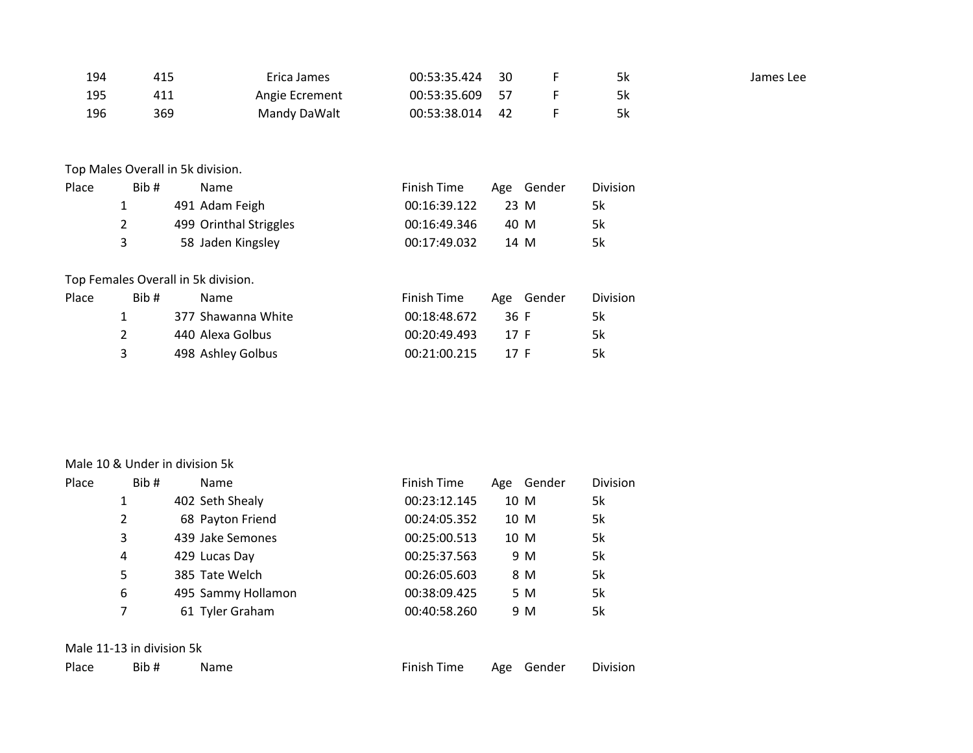| 194   | 415            | Erica James                         | 00:53:35.424       | 30   | F          | 5k              | James Lee |
|-------|----------------|-------------------------------------|--------------------|------|------------|-----------------|-----------|
| 195   | 411            | Angie Ecrement                      | 00:53:35.609       | 57   | F          | 5k              |           |
| 196   | 369            | Mandy DaWalt                        | 00:53:38.014       | 42   | F          | 5k              |           |
|       |                | Top Males Overall in 5k division.   |                    |      |            |                 |           |
| Place | Bib#           | Name                                | <b>Finish Time</b> |      | Age Gender | <b>Division</b> |           |
|       | 1              | 491 Adam Feigh                      | 00:16:39.122       |      | 23 M       | 5k              |           |
|       | $\overline{2}$ | 499 Orinthal Striggles              | 00:16:49.346       |      | 40 M       | 5k              |           |
|       | 3              | 58 Jaden Kingsley                   | 00:17:49.032       |      | 14 M       | 5k              |           |
|       |                | Top Females Overall in 5k division. |                    |      |            |                 |           |
| Place | Bib#           | Name                                | <b>Finish Time</b> |      | Age Gender | Division        |           |
|       | 1              | 377 Shawanna White                  | 00:18:48.672       | 36 F |            | 5k              |           |
|       | 2              | 440 Alexa Golbus                    | 00:20:49.493       | 17 F |            | 5k              |           |
|       | 3              | 498 Ashley Golbus                   | 00:21:00.215       | 17 F |            | 5k              |           |

#### Male 10 & Under in division 5k

| Place | Bib# | Name               | Finish Time  |      | Age Gender | Division |
|-------|------|--------------------|--------------|------|------------|----------|
|       |      | 402 Seth Shealy    | 00:23:12.145 | 10 M |            | 5k       |
| 2     |      | 68 Payton Friend   | 00:24:05.352 | 10 M |            | 5k       |
| 3     |      | 439 Jake Semones   | 00:25:00.513 | 10 M |            | 5k       |
| 4     |      | 429 Lucas Day      | 00:25:37.563 |      | 9 M        | 5k       |
| 5     |      | 385 Tate Welch     | 00:26:05.603 |      | 8 M        | 5k       |
| 6     |      | 495 Sammy Hollamon | 00:38:09.425 |      | 5 M        | 5k       |
| 7     |      | 61 Tyler Graham    | 00:40:58.260 |      | 9 M        | 5k       |

## Male 11-13 in division 5k

| Place | Bib | 'ame | l ime<br>-inish- | Age | Gender | Division |
|-------|-----|------|------------------|-----|--------|----------|
|       |     |      | .                |     |        |          |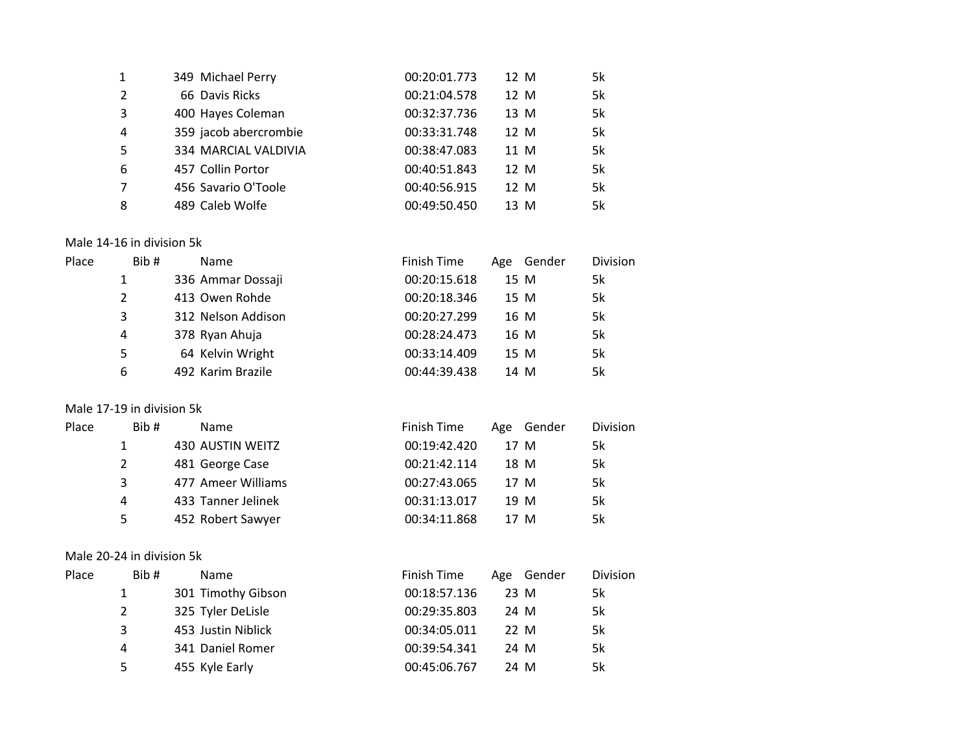| 1              | 349 Michael Perry     | 00:20:01.773 | 12 M | 5k |
|----------------|-----------------------|--------------|------|----|
| $\overline{2}$ | 66 Davis Ricks        | 00:21:04.578 | 12 M | 5k |
| 3              | 400 Hayes Coleman     | 00:32:37.736 | 13 M | 5k |
| 4              | 359 jacob abercrombie | 00:33:31.748 | 12 M | 5k |
| .5             | 334 MARCIAL VALDIVIA  | 00:38:47.083 | 11 M | 5k |
| 6              | 457 Collin Portor     | 00:40:51.843 | 12 M | 5k |
| 7              | 456 Savario O'Toole   | 00:40:56.915 | 12 M | 5k |
| 8              | 489 Caleb Wolfe       | 00:49:50.450 | 13 M | 5k |

#### Male 14-16 in division 5k

| Place | Bib# | Name               | Finish Time  | Age | Gender | Division |
|-------|------|--------------------|--------------|-----|--------|----------|
|       |      | 336 Ammar Dossaji  | 00:20:15.618 |     | 15 M   | 5k       |
|       | 2    | 413 Owen Rohde     | 00:20:18.346 |     | 15 M   | 5k       |
|       | 3    | 312 Nelson Addison | 00:20:27.299 |     | 16 M   | 5k       |
|       | 4    | 378 Ryan Ahuja     | 00:28:24.473 |     | 16 M   | 5k       |
|       | 5    | 64 Kelvin Wright   | 00:33:14.409 |     | 15 M   | 5k       |
|       | 6    | 492 Karim Brazile  | 00:44:39.438 |     | 14 M   | 5k       |

# Male 17-19 in division 5k

| Place | Bib# | <b>Name</b>        | Finish Time  | Gender<br>Age | <b>Division</b> |
|-------|------|--------------------|--------------|---------------|-----------------|
|       |      | 430 AUSTIN WEITZ   | 00:19:42.420 | 17 M          | 5k              |
|       | 2    | 481 George Case    | 00:21:42.114 | 18 M          | 5k              |
|       | 3    | 477 Ameer Williams | 00:27:43.065 | 17 M          | 5k              |
|       | 4    | 433 Tanner Jelinek | 00:31:13.017 | 19 M          | 5k              |
|       | 5    | 452 Robert Sawyer  | 00:34:11.868 | 17 M          | 5k              |

## Male 20-24 in division 5k

| Place | Bib# | <b>Name</b>        | Finish Time  | Age Gender | <b>Division</b> |
|-------|------|--------------------|--------------|------------|-----------------|
|       |      | 301 Timothy Gibson | 00:18:57.136 | 23 M       | 5k              |
|       | 2    | 325 Tyler DeLisle  | 00:29:35.803 | 24 M       | 5k              |
|       | 3    | 453 Justin Niblick | 00:34:05.011 | 22 M       | 5k              |
|       | 4    | 341 Daniel Romer   | 00:39:54.341 | 24 M       | 5k              |
|       | 5    | 455 Kyle Early     | 00:45:06.767 | 24 M       | 5k              |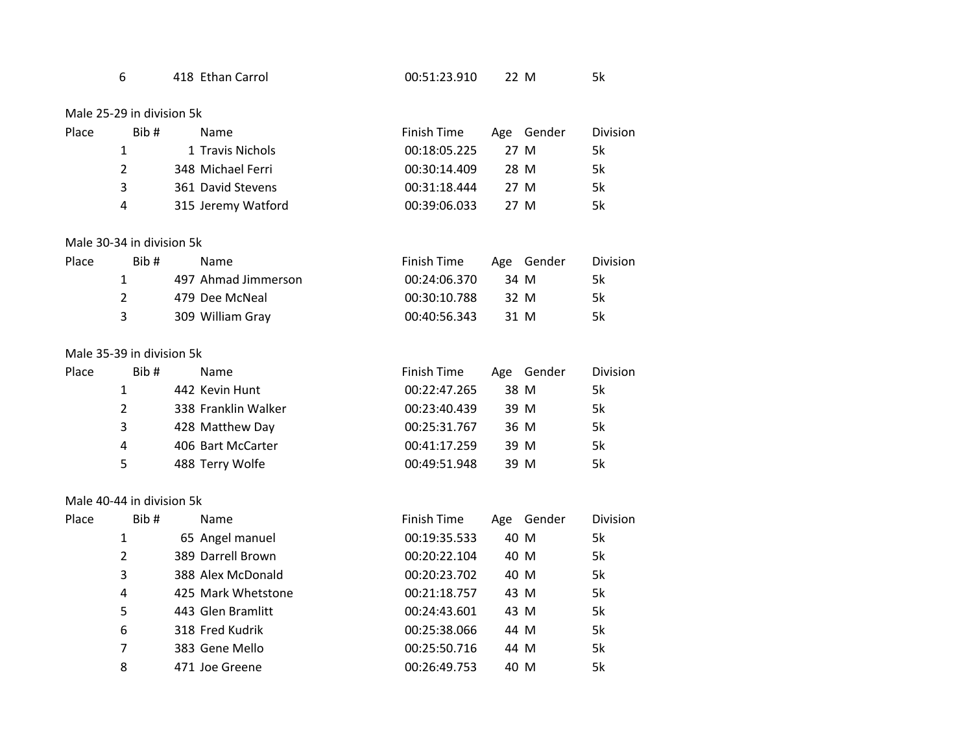| 418 Ethan Carrol | 00:51:23.910 | M |  |
|------------------|--------------|---|--|
|------------------|--------------|---|--|

Male 25-29 in division 5k

| Place | Bib#          | Name               | Finish Time  | Age Gender | <b>Division</b> |
|-------|---------------|--------------------|--------------|------------|-----------------|
|       |               | 1 Travis Nichols   | 00:18:05.225 | 27 M       | 5k              |
|       | $\mathcal{P}$ | 348 Michael Ferri  | 00:30:14.409 | 28 M       | 5k              |
|       | ર             | 361 David Stevens  | 00:31:18.444 | 27 M       | 5k              |
|       | 4             | 315 Jeremy Watford | 00:39:06.033 | 27 M       | 5k              |

#### Male 30-34 in division 5k

| Place | Bib# | Name                | Finish Time  |      | Age Gender | <b>Division</b> |
|-------|------|---------------------|--------------|------|------------|-----------------|
|       |      | 497 Ahmad Jimmerson | 00:24:06.370 | 34 M |            | 5k              |
|       |      | 479 Dee McNeal      | 00:30:10.788 | 32 M |            | 5k              |
|       |      | 309 William Gray    | 00:40:56.343 | 31 M |            | 5k              |

## Male 35-39 in division 5k

| Place | Bib# | <b>Name</b>         | Finish Time  | Age Gender | <b>Division</b> |
|-------|------|---------------------|--------------|------------|-----------------|
|       |      | 442 Kevin Hunt      | 00:22:47.265 | 38 M       | 5k              |
|       | 2    | 338 Franklin Walker | 00:23:40.439 | 39 M       | 5k              |
|       | 3    | 428 Matthew Day     | 00:25:31.767 | 36 M       | 5k              |
|       | 4    | 406 Bart McCarter   | 00:41:17.259 | 39 M       | 5k              |
|       | 5    | 488 Terry Wolfe     | 00:49:51.948 | 39 M       | 5k              |

## Male 40-44 in division 5k

| Place | Bib# | <b>Name</b>        | Finish Time  | Age Gender | <b>Division</b> |
|-------|------|--------------------|--------------|------------|-----------------|
|       | 1    | 65 Angel manuel    | 00:19:35.533 | 40 M       | 5k              |
|       | 2    | 389 Darrell Brown  | 00:20:22.104 | 40 M       | 5k              |
|       | 3    | 388 Alex McDonald  | 00:20:23.702 | 40 M       | 5k              |
|       | 4    | 425 Mark Whetstone | 00:21:18.757 | 43 M       | 5k              |
|       | 5    | 443 Glen Bramlitt  | 00:24:43.601 | 43 M       | 5k              |
|       | 6    | 318 Fred Kudrik    | 00:25:38.066 | 44 M       | 5k              |
|       | 7    | 383 Gene Mello     | 00:25:50.716 | 44 M       | 5k              |
|       | 8    | 471 Joe Greene     | 00:26:49.753 | 40 M       | 5k              |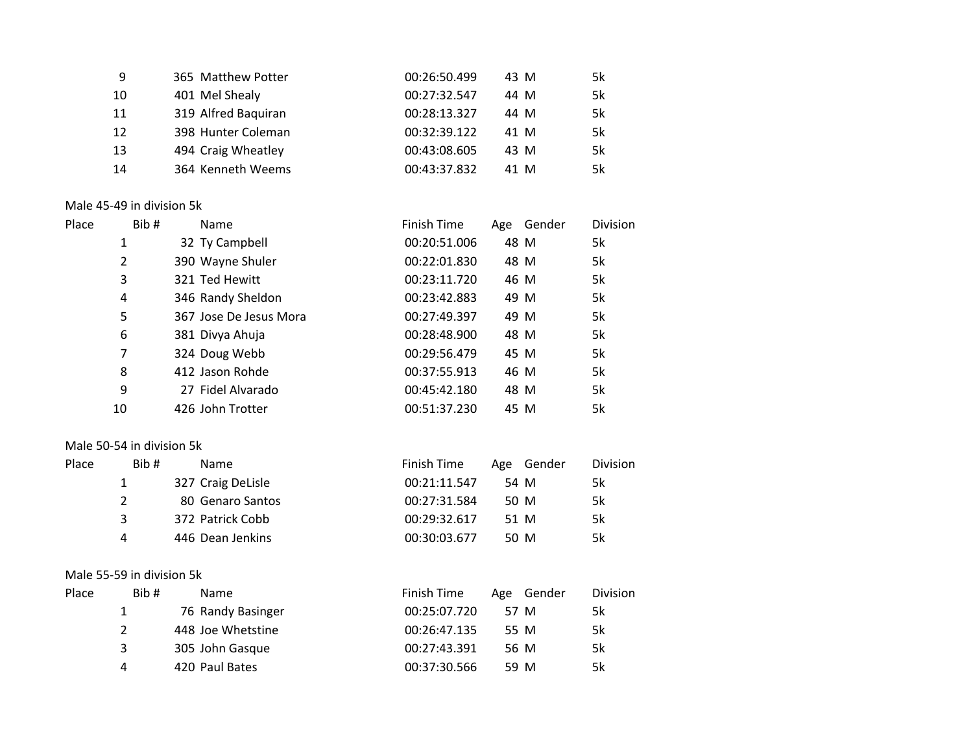| 9  | 365 Matthew Potter  | 00:26:50.499 | 43 M | 5k |
|----|---------------------|--------------|------|----|
| 10 | 401 Mel Shealy      | 00:27:32.547 | 44 M | 5k |
| 11 | 319 Alfred Baquiran | 00:28:13.327 | 44 M | 5k |
| 12 | 398 Hunter Coleman  | 00:32:39.122 | 41 M | 5k |
| 13 | 494 Craig Wheatley  | 00:43:08.605 | 43 M | 5k |
| 14 | 364 Kenneth Weems   | 00:43:37.832 | 41 M | 5k |

# Male 45-49 in division 5k

| Place | Bib#           | Name                   | Finish Time  | Age Gender | Division |
|-------|----------------|------------------------|--------------|------------|----------|
|       | 1              | 32 Ty Campbell         | 00:20:51.006 | 48 M       | 5k       |
|       | $\overline{2}$ | 390 Wayne Shuler       | 00:22:01.830 | 48 M       | 5k       |
|       | 3              | 321 Ted Hewitt         | 00:23:11.720 | 46 M       | 5k       |
|       | 4              | 346 Randy Sheldon      | 00:23:42.883 | 49 M       | 5k       |
|       | 5              | 367 Jose De Jesus Mora | 00:27:49.397 | 49 M       | 5k       |
|       | 6              | 381 Divya Ahuja        | 00:28:48.900 | 48 M       | 5k       |
|       | 7              | 324 Doug Webb          | 00:29:56.479 | 45 M       | 5k       |
|       | 8              | 412 Jason Rohde        | 00:37:55.913 | 46 M       | 5k       |
|       | 9              | 27 Fidel Alvarado      | 00:45:42.180 | 48 M       | 5k       |
|       | 10             | 426 John Trotter       | 00:51:37.230 | 45 M       | 5k       |
|       |                |                        |              |            |          |

## Male 50-54 in division 5k

| Place<br>Bib# |   | Name              | Finish Time  | Age Gender | <b>Division</b> |
|---------------|---|-------------------|--------------|------------|-----------------|
|               |   | 327 Craig DeLisle | 00:21:11.547 | 54 M       | 5k              |
|               |   | 80 Genaro Santos  | 00:27:31.584 | 50 M       | 5k              |
|               | 3 | 372 Patrick Cobb  | 00:29:32.617 | 51 M       | 5k              |
|               | 4 | 446 Dean Jenkins  | 00:30:03.677 | 50 M       | 5k              |

## Male 55-59 in division 5k

| Place | Bib# | <b>Name</b>       | Finish Time  | Age Gender | <b>Division</b> |
|-------|------|-------------------|--------------|------------|-----------------|
|       |      | 76 Randy Basinger | 00:25:07.720 | 57 M       | 5k              |
|       |      | 448 Joe Whetstine | 00:26:47.135 | 55 M       | 5k              |
|       | 3    | 305 John Gasque   | 00:27:43.391 | 56 M       | 5k              |
|       | 4    | 420 Paul Bates    | 00:37:30.566 | 59 M       | 5k              |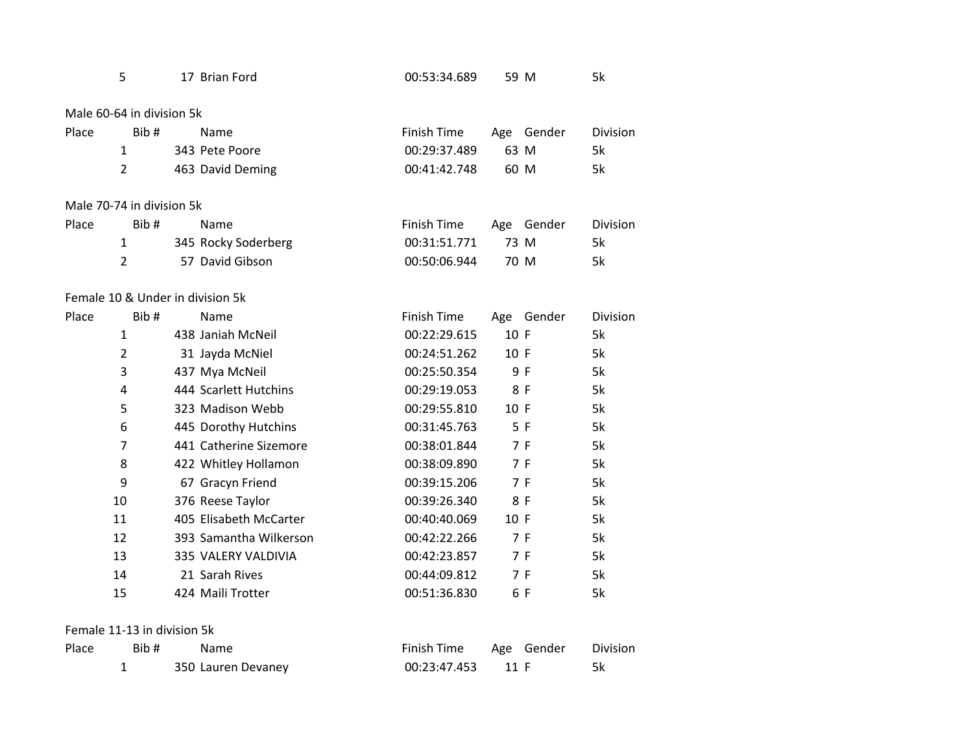|       | 5                                | 17 Brian Ford     |                        | 00:53:34.689       | 59 M |            | 5k       |
|-------|----------------------------------|-------------------|------------------------|--------------------|------|------------|----------|
|       | Male 60-64 in division 5k        |                   |                        |                    |      |            |          |
| Place | Bib#                             | Name              |                        | <b>Finish Time</b> | Age  | Gender     | Division |
|       | $\mathbf{1}$                     | 343 Pete Poore    |                        | 00:29:37.489       | 63 M |            | 5k       |
|       | $\overline{2}$                   |                   | 463 David Deming       | 00:41:42.748       | 60 M |            | 5k       |
|       | Male 70-74 in division 5k        |                   |                        |                    |      |            |          |
| Place | Bib#                             | Name              |                        | <b>Finish Time</b> | Age  | Gender     | Division |
|       | 1                                |                   | 345 Rocky Soderberg    | 00:31:51.771       | 73 M |            | 5k       |
|       | $\overline{2}$                   |                   | 57 David Gibson        | 00:50:06.944       | 70 M |            | 5k       |
|       | Female 10 & Under in division 5k |                   |                        |                    |      |            |          |
| Place | Bib#                             | Name              |                        | Finish Time        |      | Age Gender | Division |
|       | $\mathbf{1}$                     |                   | 438 Janiah McNeil      | 00:22:29.615       | 10 F |            | 5k       |
|       | $\overline{2}$                   |                   | 31 Jayda McNiel        | 00:24:51.262       | 10 F |            | 5k       |
|       | 3                                | 437 Mya McNeil    |                        | 00:25:50.354       |      | 9 F        | 5k       |
|       | 4                                |                   | 444 Scarlett Hutchins  | 00:29:19.053       |      | 8 F        | 5k       |
|       | 5                                |                   | 323 Madison Webb       | 00:29:55.810       | 10 F |            | 5k       |
|       | 6                                |                   | 445 Dorothy Hutchins   | 00:31:45.763       |      | 5 F        | 5k       |
|       | $\overline{7}$                   |                   | 441 Catherine Sizemore | 00:38:01.844       |      | 7 F        | 5k       |
|       | 8                                |                   | 422 Whitley Hollamon   | 00:38:09.890       |      | 7 F        | 5k       |
|       | 9                                |                   | 67 Gracyn Friend       | 00:39:15.206       |      | 7 F        | 5k       |
|       | 10                               | 376 Reese Taylor  |                        | 00:39:26.340       |      | 8 F        | 5k       |
|       | 11                               |                   | 405 Elisabeth McCarter | 00:40:40.069       | 10 F |            | 5k       |
|       | 12                               |                   | 393 Samantha Wilkerson | 00:42:22.266       |      | 7 F        | 5k       |
|       | 13                               |                   | 335 VALERY VALDIVIA    | 00:42:23.857       |      | 7 F        | 5k       |
|       | 14                               | 21 Sarah Rives    |                        | 00:44:09.812       |      | 7 F        | 5k       |
|       | 15                               | 424 Maili Trotter |                        | 00:51:36.830       |      | 6 F        | 5k       |
|       |                                  |                   |                        |                    |      |            |          |

Female 11-13 in division 5k

| Place | Bib # | Name               |                   | Finish Time Age Gender Division |  |
|-------|-------|--------------------|-------------------|---------------------------------|--|
|       |       | 350 Lauren Devaney | 00:23:47.453 11 F |                                 |  |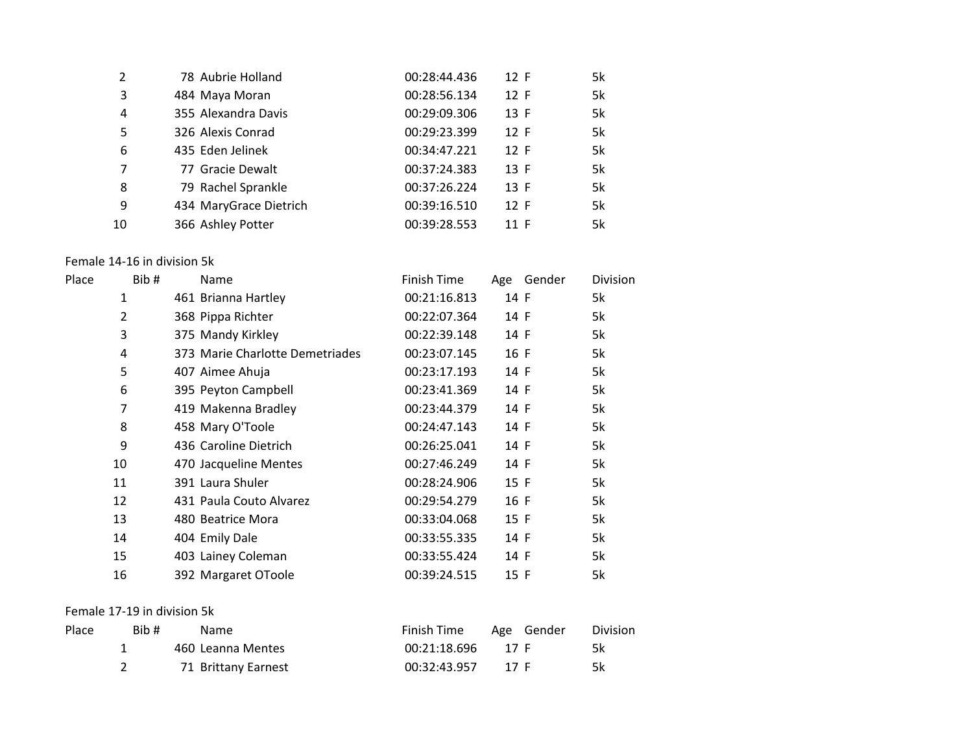| $\overline{2}$ | 78 Aubrie Holland      | 00:28:44.436 | 12 F | 5k |
|----------------|------------------------|--------------|------|----|
| 3              | 484 Maya Moran         | 00:28:56.134 | 12 F | 5k |
| 4              | 355 Alexandra Davis    | 00:29:09.306 | 13 F | 5k |
| 5              | 326 Alexis Conrad      | 00:29:23.399 | 12 F | 5k |
| 6              | 435 Eden Jelinek       | 00:34:47.221 | 12 F | 5k |
| 7              | 77 Gracie Dewalt       | 00:37:24.383 | 13 F | 5k |
| 8              | 79 Rachel Sprankle     | 00:37:26.224 | 13 F | 5k |
| 9              | 434 MaryGrace Dietrich | 00:39:16.510 | 12 F | 5k |
| 10             | 366 Ashley Potter      | 00:39:28.553 | 11 F | 5k |

## Female 14-16 in division 5k

| Place | Bib#           | Name                            | Finish Time  | Gender<br>Age | Division |
|-------|----------------|---------------------------------|--------------|---------------|----------|
|       | 1              | 461 Brianna Hartley             | 00:21:16.813 | 14 F          | 5k       |
|       | $\overline{2}$ | 368 Pippa Richter               | 00:22:07.364 | 14 F          | 5k       |
|       | 3              | 375 Mandy Kirkley               | 00:22:39.148 | 14 F          | 5k       |
|       | 4              | 373 Marie Charlotte Demetriades | 00:23:07.145 | 16 F          | 5k       |
|       | 5              | 407 Aimee Ahuja                 | 00:23:17.193 | 14 F          | 5k       |
|       | 6              | 395 Peyton Campbell             | 00:23:41.369 | 14 F          | 5k       |
|       | 7              | 419 Makenna Bradley             | 00:23:44.379 | 14 F          | 5k       |
|       | 8              | 458 Mary O'Toole                | 00:24:47.143 | 14 F          | 5k       |
|       | 9              | 436 Caroline Dietrich           | 00:26:25.041 | 14 F          | 5k       |
|       | 10             | 470 Jacqueline Mentes           | 00:27:46.249 | 14 F          | 5k       |
|       | 11             | 391 Laura Shuler                | 00:28:24.906 | 15 F          | 5k       |
|       | 12             | 431 Paula Couto Alvarez         | 00:29:54.279 | 16 F          | 5k       |
|       | 13             | 480 Beatrice Mora               | 00:33:04.068 | 15 F          | 5k       |
|       | 14             | 404 Emily Dale                  | 00:33:55.335 | 14 F          | 5k       |
|       | 15             | 403 Lainey Coleman              | 00:33:55.424 | 14 F          | 5k       |
|       | 16             | 392 Margaret OToole             | 00:39:24.515 | 15 F          | 5k       |

# Female 17-19 in division 5k

| Place | Bib # | Name.               | Finish Time         |      | Age Gender | Division |
|-------|-------|---------------------|---------------------|------|------------|----------|
|       |       | 460 Leanna Mentes   | $00:21:18.696$ 17 F |      |            | 5k       |
|       |       | 71 Brittany Earnest | 00:32:43.957        | 17 F |            | 5k       |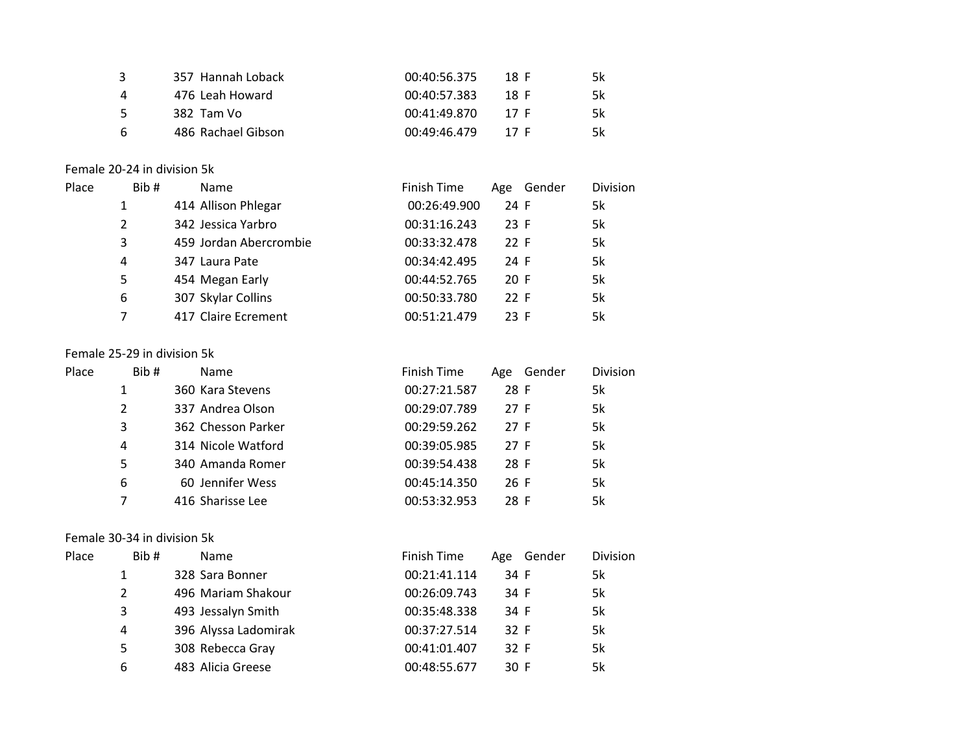| - 3 | 357 Hannah Loback  | 00:40:56.375 | 18 F | 5k |
|-----|--------------------|--------------|------|----|
|     | 476 Leah Howard    | 00:40:57.383 | 18 F | 5k |
| 5.  | 382 Tam Vo         | 00:41:49.870 | 17 F | 5k |
| -6  | 486 Rachael Gibson | 00:49:46.479 | 17 F | 5k |

### Female 20-24 in division 5k

| Place | Bib# | <b>Name</b>            | Finish Time  | Age Gender | <b>Division</b> |
|-------|------|------------------------|--------------|------------|-----------------|
|       |      | 414 Allison Phlegar    | 00:26:49.900 | 24 F       | 5k              |
|       | 2    | 342 Jessica Yarbro     | 00:31:16.243 | 23 F       | 5k              |
|       | 3    | 459 Jordan Abercrombie | 00:33:32.478 | 22 F       | 5k              |
|       | 4    | 347 Laura Pate         | 00:34:42.495 | 24 F       | 5k              |
|       | 5    | 454 Megan Early        | 00:44:52.765 | 20 F       | 5k              |
|       | 6    | 307 Skylar Collins     | 00:50:33.780 | 22 F       | 5k              |
|       | 7    | 417 Claire Ecrement    | 00:51:21.479 | 23 F       | 5k              |

## Female 25-29 in division 5k

| Place | Bib# | <b>Name</b>        | Finish Time  | Gender<br>Age | <b>Division</b> |
|-------|------|--------------------|--------------|---------------|-----------------|
|       |      | 360 Kara Stevens   | 00:27:21.587 | 28 F          | 5k              |
|       | 2    | 337 Andrea Olson   | 00:29:07.789 | 27 F          | 5k              |
|       | 3    | 362 Chesson Parker | 00:29:59.262 | 27 F          | 5k              |
|       | 4    | 314 Nicole Watford | 00:39:05.985 | 27 F          | 5k              |
|       | 5    | 340 Amanda Romer   | 00:39:54.438 | 28 F          | 5k              |
|       | 6    | 60 Jennifer Wess   | 00:45:14.350 | 26 F          | 5k              |
|       | 7    | 416 Sharisse Lee   | 00:53:32.953 | 28 F          | 5k              |

# Female 30-34 in division 5k

| Place | Bib# | <b>Name</b>          | Finish Time  | Age Gender | <b>Division</b> |
|-------|------|----------------------|--------------|------------|-----------------|
|       |      | 328 Sara Bonner      | 00:21:41.114 | 34 F       | 5k              |
|       | 2    | 496 Mariam Shakour   | 00:26:09.743 | 34 F       | 5k              |
|       | 3    | 493 Jessalyn Smith   | 00:35:48.338 | 34 F       | 5k              |
|       | 4    | 396 Alyssa Ladomirak | 00:37:27.514 | 32 F       | 5k              |
|       | 5    | 308 Rebecca Gray     | 00:41:01.407 | 32 F       | 5k              |
|       | 6    | 483 Alicia Greese    | 00:48:55.677 | 30 F       | 5k              |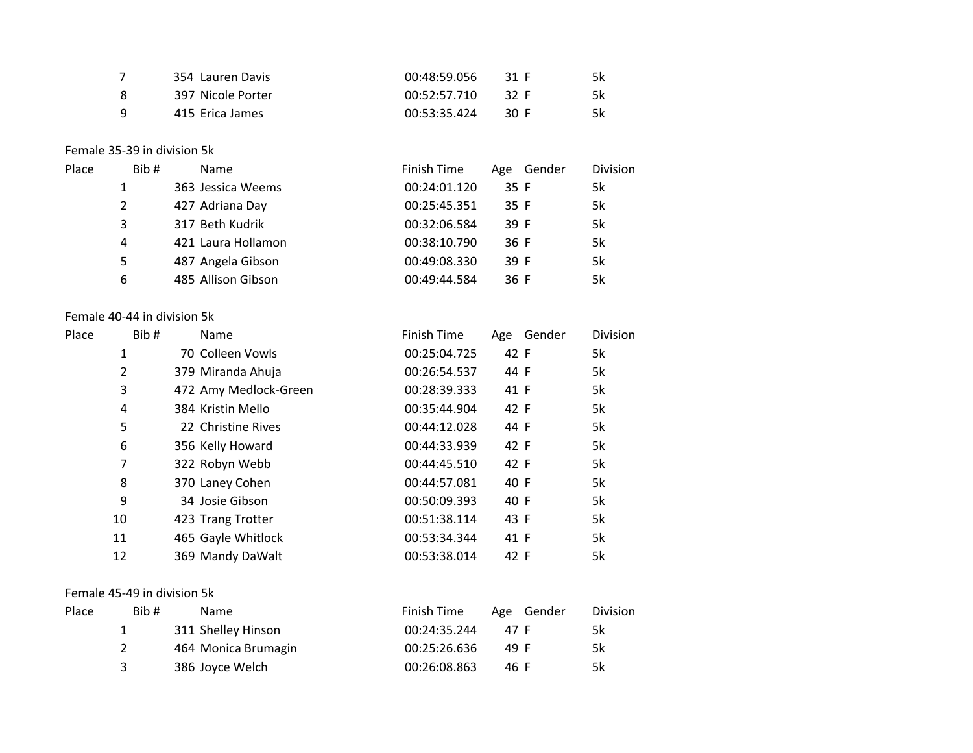| 354 Lauren Davis  | 00:48:59.056 | - 31 F | 5k |
|-------------------|--------------|--------|----|
| 397 Nicole Porter | 00:52:57.710 | - 32 F | 5k |
| 415 Erica James   | 00:53:35.424 | - 30 E | 5k |

#### Female 35-39 in division 5k

| Place | Bib# | Name               | Finish Time  | Age Gender | Division |
|-------|------|--------------------|--------------|------------|----------|
|       |      | 363 Jessica Weems  | 00:24:01.120 | 35 F       | 5k       |
|       | 2    | 427 Adriana Day    | 00:25:45.351 | 35 F       | 5k       |
|       | 3    | 317 Beth Kudrik    | 00:32:06.584 | 39 F       | 5k       |
|       | 4    | 421 Laura Hollamon | 00:38:10.790 | 36 F       | 5k       |
|       | 5    | 487 Angela Gibson  | 00:49:08.330 | 39 F       | 5k       |
|       | 6    | 485 Allison Gibson | 00:49:44.584 | 36 F       | 5k       |

#### Female 40-44 in division 5k

| Place | Bib# | Name                  | Finish Time  | Age Gender | <b>Division</b> |
|-------|------|-----------------------|--------------|------------|-----------------|
|       | 1    | 70 Colleen Vowls      | 00:25:04.725 | 42 F       | 5k              |
|       | 2    | 379 Miranda Ahuja     | 00:26:54.537 | 44 F       | 5k              |
|       | 3    | 472 Amy Medlock-Green | 00:28:39.333 | 41 F       | 5k              |
|       | 4    | 384 Kristin Mello     | 00:35:44.904 | 42 F       | 5k              |
|       | 5    | 22 Christine Rives    | 00:44:12.028 | 44 F       | 5k              |
|       | 6    | 356 Kelly Howard      | 00:44:33.939 | 42 F       | 5k              |
|       | 7    | 322 Robyn Webb        | 00:44:45.510 | 42 F       | 5k              |
|       | 8    | 370 Laney Cohen       | 00:44:57.081 | 40 F       | 5k              |
|       | 9    | 34 Josie Gibson       | 00:50:09.393 | 40 F       | 5k              |
|       | 10   | 423 Trang Trotter     | 00:51:38.114 | 43 F       | 5k              |
|       | 11   | 465 Gayle Whitlock    | 00:53:34.344 | 41 F       | 5k              |
|       | 12   | 369 Mandy DaWalt      | 00:53:38.014 | 42 F       | 5k              |

#### Female 45-49 in division 5k

| Place | Bib # | Name                | Finish Time  | Age Gender | <b>Division</b> |
|-------|-------|---------------------|--------------|------------|-----------------|
|       |       | 311 Shelley Hinson  | 00:24:35.244 | 47 F       | 5k              |
|       |       | 464 Monica Brumagin | 00:25:26.636 | 49 F       | 5k              |
|       |       | 386 Joyce Welch     | 00:26:08.863 | 46 F       | 5k              |